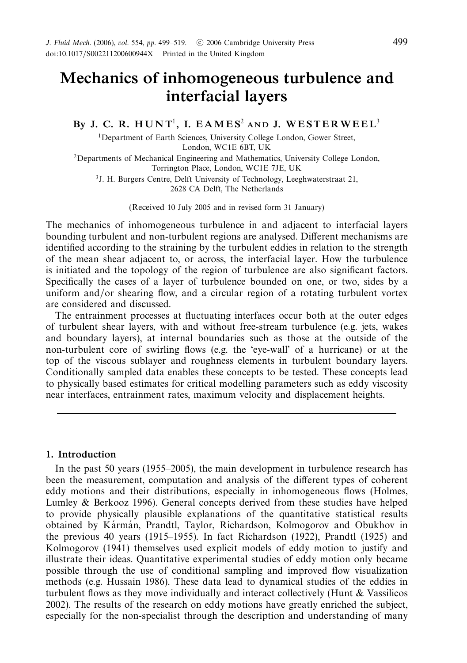# *Mechanics of inhomogeneous turbulence and interfacial layers*

# *By J. C. R. H U N T*<sup>1</sup>*, I. E AM E S*<sup>2</sup> *AND J. W E S T E RW E E L*<sup>3</sup>

<sup>1</sup>Department of Earth Sciences, University College London, Gower Street, London, WC1E 6BT, UK

2Departments of Mechanical Engineering and Mathematics, University College London, Torrington Place, London, WC1E 7JE, UK

<sup>3</sup>J. H. Burgers Centre, Delft University of Technology, Leeghwaterstraat 21, 2628 CA Delft, The Netherlands

(Received 10 July 2005 and in revised form 31 January)

The mechanics of inhomogeneous turbulence in and adjacent to interfacial layers bounding turbulent and non-turbulent regions are analysed. Different mechanisms are identified according to the straining by the turbulent eddies in relation to the strength of the mean shear adjacent to, or across, the interfacial layer. How the turbulence is initiated and the topology of the region of turbulence are also significant factors. Specifically the cases of a layer of turbulence bounded on one, or two, sides by a uniform and/or shearing flow, and a circular region of a rotating turbulent vortex are considered and discussed.

The entrainment processes at fluctuating interfaces occur both at the outer edges of turbulent shear layers, with and without free-stream turbulence (e.g. jets, wakes and boundary layers), at internal boundaries such as those at the outside of the non-turbulent core of swirling flows (e.g. the 'eye-wall' of a hurricane) or at the top of the viscous sublayer and roughness elements in turbulent boundary layers. Conditionally sampled data enables these concepts to be tested. These concepts lead to physically based estimates for critical modelling parameters such as eddy viscosity near interfaces, entrainment rates, maximum velocity and displacement heights.

#### *1. Introduction*

In the past 50 years (1955–2005), the main development in turbulence research has been the measurement, computation and analysis of the different types of coherent eddy motions and their distributions, especially in inhomogeneous flows (Holmes, Lumley & Berkooz 1996). General concepts derived from these studies have helped to provide physically plausible explanations of the quantitative statistical results obtained by Kármán, Prandtl, Taylor, Richardson, Kolmogorov and Obukhov in the previous 40 years (1915–1955). In fact Richardson (1922), Prandtl (1925) and Kolmogorov (1941) themselves used explicit models of eddy motion to justify and illustrate their ideas. Quantitative experimental studies of eddy motion only became possible through the use of conditional sampling and improved flow visualization methods (e.g. Hussain 1986). These data lead to dynamical studies of the eddies in turbulent flows as they move individually and interact collectively (Hunt  $&$  Vassilicos 2002). The results of the research on eddy motions have greatly enriched the subject, especially for the non-specialist through the description and understanding of many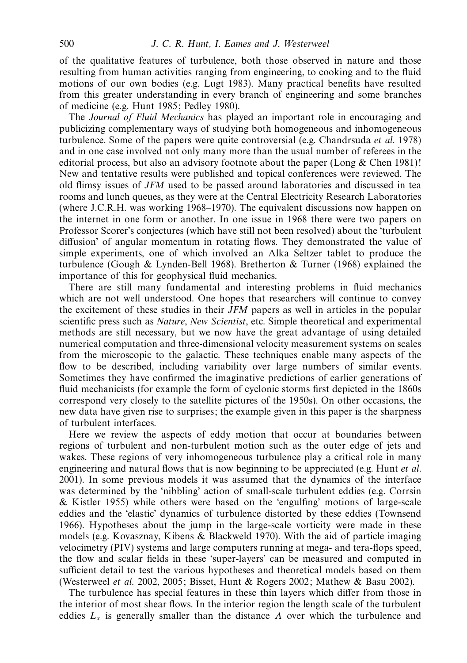of the qualitative features of turbulence, both those observed in nature and those resulting from human activities ranging from engineering, to cooking and to the fluid motions of our own bodies (e.g. Lugt 1983). Many practical benefits have resulted from this greater understanding in every branch of engineering and some branches of medicine (e.g. Hunt 1985; Pedley 1980).

The Journal of Fluid Mechanics has played an important role in encouraging and publicizing complementary ways of studying both homogeneous and inhomogeneous turbulence. Some of the papers were quite controversial (e.g. Chandrsuda et al. 1978) and in one case involved not only many more than the usual number of referees in the editorial process, but also an advisory footnote about the paper (Long  $&$  Chen 1981)! New and tentative results were published and topical conferences were reviewed. The old flimsy issues of JFM used to be passed around laboratories and discussed in tea rooms and lunch queues, as they were at the Central Electricity Research Laboratories (where J.C.R.H. was working 1968–1970). The equivalent discussions now happen on the internet in one form or another. In one issue in 1968 there were two papers on Professor Scorer's conjectures (which have still not been resolved) about the 'turbulent diffusion' of angular momentum in rotating flows. They demonstrated the value of simple experiments, one of which involved an Alka Seltzer tablet to produce the turbulence (Gough & Lynden-Bell 1968). Bretherton & Turner (1968) explained the importance of this for geophysical fluid mechanics.

There are still many fundamental and interesting problems in fluid mechanics which are not well understood. One hopes that researchers will continue to convey the excitement of these studies in their JFM papers as well in articles in the popular scientific press such as *Nature, New Scientist*, etc. Simple theoretical and experimental methods are still necessary, but we now have the great advantage of using detailed numerical computation and three-dimensional velocity measurement systems on scales from the microscopic to the galactic. These techniques enable many aspects of the flow to be described, including variability over large numbers of similar events. Sometimes they have confirmed the imaginative predictions of earlier generations of fluid mechanicists (for example the form of cyclonic storms first depicted in the 1860s correspond very closely to the satellite pictures of the 1950s). On other occasions, the new data have given rise to surprises; the example given in this paper is the sharpness of turbulent interfaces.

Here we review the aspects of eddy motion that occur at boundaries between regions of turbulent and non-turbulent motion such as the outer edge of jets and wakes. These regions of very inhomogeneous turbulence play a critical role in many engineering and natural flows that is now beginning to be appreciated (e.g. Hunt *et al.*) 2001). In some previous models it was assumed that the dynamics of the interface was determined by the 'nibbling' action of small-scale turbulent eddies (e.g. Corrsin & Kistler 1955) while others were based on the 'engulfing' motions of large-scale eddies and the 'elastic' dynamics of turbulence distorted by these eddies (Townsend 1966). Hypotheses about the jump in the large-scale vorticity were made in these models (e.g. Kovasznay, Kibens & Blackweld 1970). With the aid of particle imaging velocimetry (PIV) systems and large computers running at mega- and tera-flops speed, the flow and scalar fields in these 'super-layers' can be measured and computed in sufficient detail to test the various hypotheses and theoretical models based on them (Westerweel et al. 2002, 2005; Bisset, Hunt & Rogers 2002; Mathew & Basu 2002).

The turbulence has special features in these thin layers which differ from those in the interior of most shear flows. In the interior region the length scale of the turbulent eddies  $L_x$  is generally smaller than the distance  $\Lambda$  over which the turbulence and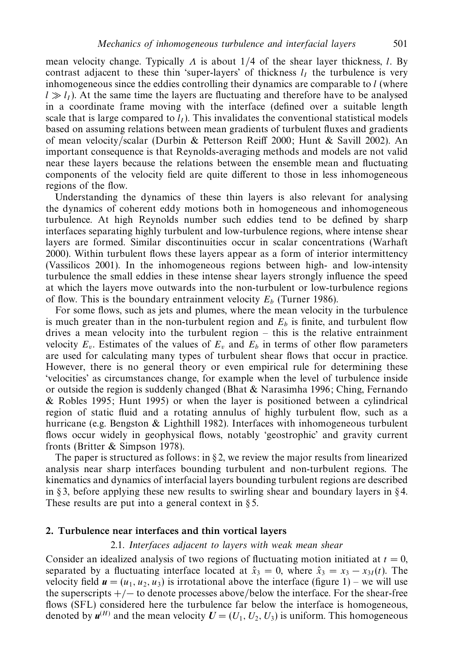mean velocity change. Typically *Λ* is about 1/4 of the shear layer thickness, *l*. By contrast adjacent to these thin 'super-layers' of thickness  $l<sub>I</sub>$  the turbulence is very inhomogeneous since the eddies controlling their dynamics are comparable to *l* (where  $l \gg l_l$ ). At the same time the layers are fluctuating and therefore have to be analysed in a coordinate frame moving with the interface (defined over a suitable length scale that is large compared to  $l<sub>I</sub>$ ). This invalidates the conventional statistical models based on assuming relations between mean gradients of turbulent fluxes and gradients of mean velocity/scalar (Durbin & Petterson Reiff 2000; Hunt & Savill 2002). An important consequence is that Reynolds-averaging methods and models are not valid near these layers because the relations between the ensemble mean and fluctuating components of the velocity field are quite different to those in less inhomogeneous regions of the flow.

Understanding the dynamics of these thin layers is also relevant for analysing the dynamics of coherent eddy motions both in homogeneous and inhomogeneous turbulence. At high Reynolds number such eddies tend to be defined by sharp interfaces separating highly turbulent and low-turbulence regions, where intense shear layers are formed. Similar discontinuities occur in scalar concentrations (Warhaft 2000). Within turbulent flows these layers appear as a form of interior intermittency (Vassilicos 2001). In the inhomogeneous regions between high- and low-intensity turbulence the small eddies in these intense shear layers strongly influence the speed at which the layers move outwards into the non-turbulent or low-turbulence regions of flow. This is the boundary entrainment velocity  $E<sub>b</sub>$  (Turner 1986).

For some flows, such as jets and plumes, where the mean velocity in the turbulence is much greater than in the non-turbulent region and  $E<sub>b</sub>$  is finite, and turbulent flow drives a mean velocity into the turbulent region – this is the relative entrainment velocity  $E_v$ . Estimates of the values of  $E_v$  and  $E_b$  in terms of other flow parameters are used for calculating many types of turbulent shear flows that occur in practice. However, there is no general theory or even empirical rule for determining these 'velocities' as circumstances change, for example when the level of turbulence inside or outside the region is suddenly changed (Bhat  $&$  Narasimha 1996; Ching, Fernando & Robles 1995; Hunt 1995) or when the layer is positioned between a cylindrical region of static fluid and a rotating annulus of highly turbulent flow, such as a hurricane (e.g. Bengston & Lighthill 1982). Interfaces with inhomogeneous turbulent flows occur widely in geophysical flows, notably 'geostrophic' and gravity current fronts (Britter & Simpson 1978).

The paper is structured as follows: in  $\S 2$ , we review the major results from linearized analysis near sharp interfaces bounding turbulent and non-turbulent regions. The kinematics and dynamics of interfacial layers bounding turbulent regions are described in § 3, before applying these new results to swirling shear and boundary layers in § 4. These results are put into a general context in  $\S 5$ .

#### *2. Turbulence near interfaces and thin vortical layers*

#### 2.1. Interfaces adjacent to layers with weak mean shear

Consider an idealized analysis of two regions of fluctuating motion initiated at  $t = 0$ , separated by a fluctuating interface located at  $\hat{x}_3 = 0$ , where  $\hat{x}_3 = x_3 - x_{3}i(t)$ . The velocity field  $u = (u_1, u_2, u_3)$  is irrotational above the interface (figure 1) – we will use the superscripts +*/*− to denote processes above/below the interface. For the shear-free flows (SFL) considered here the turbulence far below the interface is homogeneous, denoted by  $u^{(H)}$  and the mean velocity  $U = (U_1, U_2, U_3)$  is uniform. This homogeneous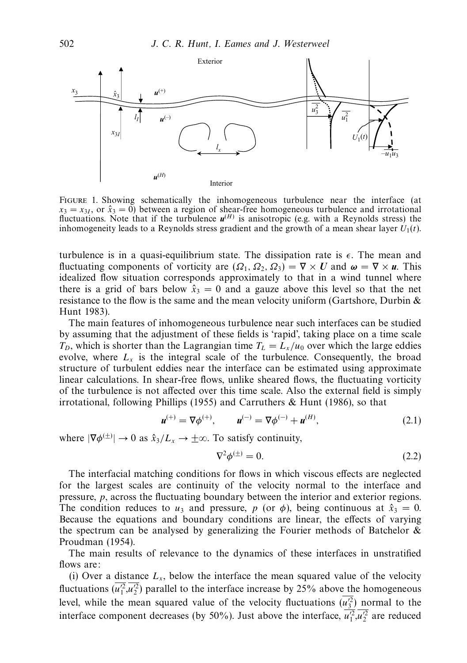

Figure 1. Showing schematically the inhomogeneous turbulence near the interface (at  $x_3 = x_{31}$ , or  $\hat{x}_3 = 0$ ) between a region of shear-free homogeneous turbulence and irrotational fluctuations. Note that if the turbulence  $u^{(H)}$  is anisotropic (e.g. with a Reynolds stress) the inhomogeneity leads to a Reynolds stress gradient and the growth of a mean shear layer  $U_1(t)$ .

turbulence is in a quasi-equilibrium state. The dissipation rate is  $\epsilon$ . The mean and fluctuating components of vorticity are  $(\Omega_1, \Omega_2, \Omega_3) = \nabla \times U$  and  $\omega = \nabla \times u$ . This idealized flow situation corresponds approximately to that in a wind tunnel where there is a grid of bars below  $\hat{x}_3 = 0$  and a gauze above this level so that the net resistance to the flow is the same and the mean velocity uniform (Gartshore, Durbin & Hunt 1983).

The main features of inhomogeneous turbulence near such interfaces can be studied by assuming that the adjustment of these fields is 'rapid', taking place on a time scale  $T_D$ , which is shorter than the Lagrangian time  $T_L = L_x/u_0$  over which the large eddies evolve, where  $L<sub>x</sub>$  is the integral scale of the turbulence. Consequently, the broad structure of turbulent eddies near the interface can be estimated using approximate linear calculations. In shear-free flows, unlike sheared flows, the fluctuating vorticity of the turbulence is not affected over this time scale. Also the external field is simply irrotational, following Phillips (1955) and Carruthers & Hunt (1986), so that

$$
\mathbf{u}^{(+)} = \nabla \phi^{(+)}, \qquad \mathbf{u}^{(-)} = \nabla \phi^{(-)} + \mathbf{u}^{(H)}, \tag{2.1}
$$

where  $|\nabla \phi^{(\pm)}| \to 0$  as  $\hat{x}_3/L_x \to \pm \infty$ . To satisfy continuity,

$$
\nabla^2 \phi^{(\pm)} = 0. \tag{2.2}
$$

The interfacial matching conditions for flows in which viscous effects are neglected for the largest scales are continuity of the velocity normal to the interface and pressure, *p*, across the fluctuating boundary between the interior and exterior regions. The condition reduces to  $u_3$  and pressure, *p* (or  $\phi$ ), being continuous at  $\hat{x}_3 = 0$ . Because the equations and boundary conditions are linear, the effects of varying the spectrum can be analysed by generalizing the Fourier methods of Batchelor & Proudman (1954).

The main results of relevance to the dynamics of these interfaces in unstratified flows are:

(i) Over a distance  $L_x$ , below the interface the mean squared value of the velocity fluctuations  $(u_1^2, u_2^2)$  parallel to the interface increase by 25% above the homogeneous level, while the mean squared value of the velocity fluctuations  $(u_3^2)$  normal to the interface component decreases (by 50%). Just above the interface,  $u_1^2, u_2^2$  are reduced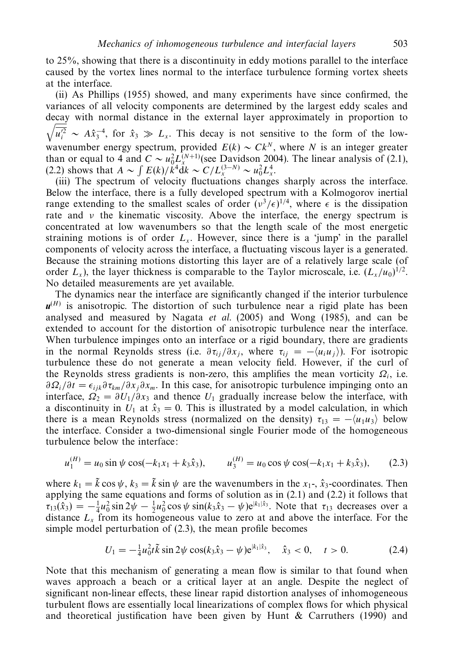to 25%, showing that there is a discontinuity in eddy motions parallel to the interface caused by the vortex lines normal to the interface turbulence forming vortex sheets at the interface.

(ii) As Phillips (1955) showed, and many experiments have since confirmed, the variances of all velocity components are determined by the largest eddy scales and decay with normal distance in the external layer approximately in proportion to  $\sqrt{\overline{u_i'^2}} \sim A\hat{x}_3^{-4}$ , for  $\hat{x}_3 \gg L_x$ . This decay is not sensitive to the form of the lowwavenumber energy spectrum, provided  $E(k) \sim Ck^N$ , where *N* is an integer greater than or equal to 4 and  $C \sim u_0^2 L_x^{(N+1)}$  (see Davidson 2004). The linear analysis of (2.1),  $(2.2)$  shows that  $A \sim \int E(k)/k^4 dk \sim C/L_x^{(3-N)} \sim u_0^2 L_x^4$ .

(iii) The spectrum of velocity fluctuations changes sharply across the interface. Below the interface, there is a fully developed spectrum with a Kolmogorov inertial range extending to the smallest scales of order  $(v^3/\epsilon)^{1/4}$ , where  $\epsilon$  is the dissipation rate and  $\nu$  the kinematic viscosity. Above the interface, the energy spectrum is concentrated at low wavenumbers so that the length scale of the most energetic straining motions is of order  $L<sub>x</sub>$ . However, since there is a 'jump' in the parallel components of velocity across the interface, a fluctuating viscous layer is a generated. Because the straining motions distorting this layer are of a relatively large scale (of order  $L_x$ ), the layer thickness is comparable to the Taylor microscale, i.e.  $(L_x/u_0)^{1/2}$ . No detailed measurements are yet available.

The dynamics near the interface are significantly changed if the interior turbulence  $u^{(H)}$  is anisotropic. The distortion of such turbulence near a rigid plate has been analysed and measured by Nagata et al. (2005) and Wong (1985), and can be extended to account for the distortion of anisotropic turbulence near the interface. When turbulence impinges onto an interface or a rigid boundary, there are gradients in the normal Reynolds stress (i.e.  $\frac{\partial \tau_{ij}}{\partial x_j}$ , where  $\tau_{ij} = -\frac{\langle u_i u_j \rangle}{\partial x_j}$ ). For isotropic turbulence these do not generate a mean velocity field. However, if the curl of the Reynolds stress gradients is non-zero, this amplifies the mean vorticity  $\Omega_i$ , i.e. *∂Ωi/∂t* =  $\epsilon_{ijk}\partial \tau_{km}/\partial x_j\partial x_m$ . In this case, for anisotropic turbulence impinging onto an interface,  $\Omega_2 = \partial U_1 / \partial x_3$  and thence  $U_1$  gradually increase below the interface, with a discontinuity in  $U_1$  at  $\hat{x}_3 = 0$ . This is illustrated by a model calculation, in which there is a mean Reynolds stress (normalized on the density)  $\tau_{13} = -\langle u_1 u_3 \rangle$  below the interface. Consider a two-dimensional single Fourier mode of the homogeneous turbulence below the interface:

$$
u_1^{(H)} = u_0 \sin \psi \cos(-k_1 x_1 + k_3 \hat{x}_3), \qquad u_3^{(H)} = u_0 \cos \psi \cos(-k_1 x_1 + k_3 \hat{x}_3), \qquad (2.3)
$$

where  $k_1 = \tilde{k} \cos \psi$ ,  $k_3 = \tilde{k} \sin \psi$  are the wavenumbers in the  $x_1$ -,  $\hat{x}_3$ -coordinates. Then applying the same equations and forms of solution as in (2.1) and (2.2) it follows that  $\tau_{13}(\hat{x}_3) = -\frac{1}{4}u_0^2 \sin 2\psi - \frac{1}{2}u_0^2 \cos \psi \sin(k_3 \hat{x}_3 - \psi) e^{|\hat{x}_1|\hat{x}_3}$ . Note that  $\tau_{13}$  decreases over a distance  $L_x$  from its homogeneous value to zero at and above the interface. For the simple model perturbation of (2.3), the mean profile becomes

$$
U_1 = -\frac{1}{4}u_0^2 t \tilde{k} \sin 2\psi \cos(k_3 \hat{x}_3 - \psi) e^{|k_1|\hat{x}_3}, \quad \hat{x}_3 < 0, \quad t > 0. \tag{2.4}
$$

Note that this mechanism of generating a mean flow is similar to that found when waves approach a beach or a critical layer at an angle. Despite the neglect of significant non-linear effects, these linear rapid distortion analyses of inhomogeneous turbulent flows are essentially local linearizations of complex flows for which physical and theoretical justification have been given by Hunt  $\&$  Carruthers (1990) and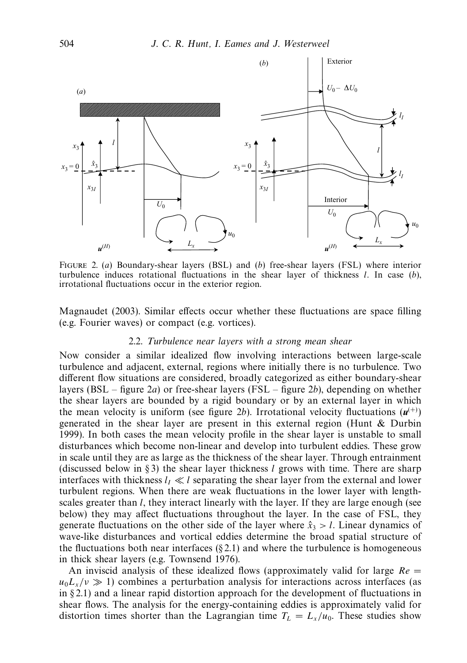

FIGURE 2. (a) Boundary-shear layers (BSL) and (b) free-shear layers (FSL) where interior turbulence induces rotational fluctuations in the shear layer of thickness *l*. In case (b), irrotational fluctuations occur in the exterior region.

Magnaudet (2003). Similar effects occur whether these fluctuations are space filling (e.g. Fourier waves) or compact (e.g. vortices).

# 2.2. Turbulence near layers with a strong mean shear

Now consider a similar idealized flow involving interactions between large-scale turbulence and adjacent, external, regions where initially there is no turbulence. Two different flow situations are considered, broadly categorized as either boundary-shear layers (BSL – figure 2*a*) or free-shear layers (FSL – figure 2*b*), depending on whether the shear layers are bounded by a rigid boundary or by an external layer in which the mean velocity is uniform (see figure 2b). Irrotational velocity fluctuations  $(\mathbf{u}^{(+)})$ generated in the shear layer are present in this external region (Hunt & Durbin 1999). In both cases the mean velocity profile in the shear layer is unstable to small disturbances which become non-linear and develop into turbulent eddies. These grow in scale until they are as large as the thickness of the shear layer. Through entrainment (discussed below in § 3) the shear layer thickness *l* grows with time. There are sharp interfaces with thickness  $l_I \ll l$  separating the shear layer from the external and lower turbulent regions. When there are weak fluctuations in the lower layer with lengthscales greater than *l*, they interact linearly with the layer. If they are large enough (see below) they may affect fluctuations throughout the layer. In the case of FSL, they generate fluctuations on the other side of the layer where  $\hat{x}_3 > l$ . Linear dynamics of wave-like disturbances and vortical eddies determine the broad spatial structure of the fluctuations both near interfaces  $(\S 2.1)$  and where the turbulence is homogeneous in thick shear layers (e.g. Townsend 1976).

An inviscid analysis of these idealized flows (approximately valid for large *Re* =  $u_0L_x/\nu \gg 1$ ) combines a perturbation analysis for interactions across interfaces (as in  $\S 2.1$ ) and a linear rapid distortion approach for the development of fluctuations in shear flows. The analysis for the energy-containing eddies is approximately valid for distortion times shorter than the Lagrangian time  $T_L = L_x/u_0$ . These studies show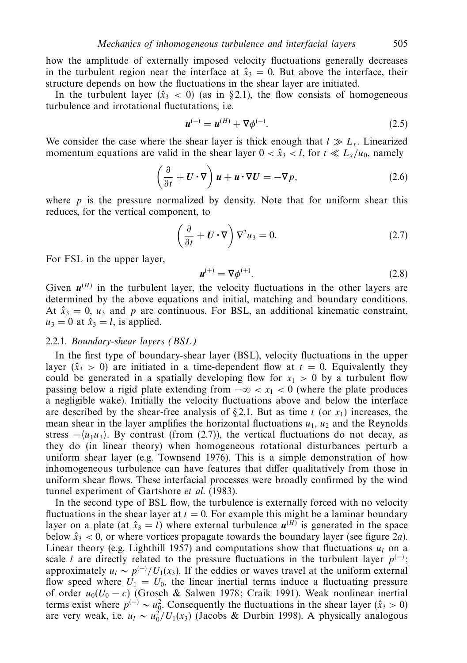how the amplitude of externally imposed velocity fluctuations generally decreases in the turbulent region near the interface at  $\hat{x}_3 = 0$ . But above the interface, their structure depends on how the fluctuations in the shear layer are initiated.

In the turbulent layer  $(\hat{x}_3 < 0)$  (as in §2.1), the flow consists of homogeneous turbulence and irrotational fluctutations, i.e.

$$
u^{(-)} = u^{(H)} + \nabla \phi^{(-)}.
$$
 (2.5)

We consider the case where the shear layer is thick enough that  $l \gg L_x$ . Linearized momentum equations are valid in the shear layer  $0 < \hat{x}_3 < l$ , for  $t \ll L_x/u_0$ , namely

$$
\left(\frac{\partial}{\partial t} + \mathbf{U} \cdot \nabla\right) \mathbf{u} + \mathbf{u} \cdot \nabla \mathbf{U} = -\nabla p,\tag{2.6}
$$

where *p* is the pressure normalized by density. Note that for uniform shear this reduces, for the vertical component, to

$$
\left(\frac{\partial}{\partial t} + \mathbf{U} \cdot \nabla\right) \nabla^2 u_3 = 0. \tag{2.7}
$$

For FSL in the upper layer,

$$
\mathbf{u}^{(+)} = \nabla \phi^{(+)}.\tag{2.8}
$$

Given  $\mathbf{u}^{(H)}$  in the turbulent layer, the velocity fluctuations in the other layers are determined by the above equations and initial, matching and boundary conditions. At  $\hat{x}_3 = 0$ ,  $u_3$  and p are continuous. For BSL, an additional kinematic constraint,  $u_3 = 0$  at  $\hat{x}_3 = l$ , is applied.

### 2.2.1. Boundary-shear layers (BSL)

In the first type of boundary-shear layer (BSL), velocity fluctuations in the upper layer  $(\hat{x}_3 > 0)$  are initiated in a time-dependent flow at  $t = 0$ . Equivalently they could be generated in a spatially developing flow for  $x_1 > 0$  by a turbulent flow passing below a rigid plate extending from  $-\infty < x_1 < 0$  (where the plate produces a negligible wake). Initially the velocity fluctuations above and below the interface are described by the shear-free analysis of  $\S 2.1$ . But as time *t* (or  $x_1$ ) increases, the mean shear in the layer amplifies the horizontal fluctuations  $u_1$ ,  $u_2$  and the Reynolds stress  $-\langle u_1u_3\rangle$ . By contrast (from (2.7)), the vertical fluctuations do not decay, as they do (in linear theory) when homogeneous rotational disturbances perturb a uniform shear layer (e.g. Townsend 1976). This is a simple demonstration of how inhomogeneous turbulence can have features that differ qualitatively from those in uniform shear flows. These interfacial processes were broadly confirmed by the wind tunnel experiment of Gartshore et al. (1983).

In the second type of BSL flow, the turbulence is externally forced with no velocity fluctuations in the shear layer at  $t = 0$ . For example this might be a laminar boundary layer on a plate (at  $\hat{x}_3 = l$ ) where external turbulence  $u^{(H)}$  is generated in the space below  $\hat{x}_3 < 0$ , or where vortices propagate towards the boundary layer (see figure 2*a*). Linear theory (e.g. Lighthill 1957) and computations show that fluctuations  $u_l$  on a scale *l* are directly related to the pressure fluctuations in the turbulent layer  $p^{(-)}$ ; approximately  $u_l \sim p^{(-)} / U_1(x_3)$ . If the eddies or waves travel at the uniform external flow speed where  $U_1 = U_0$ , the linear inertial terms induce a fluctuating pressure of order  $u_0(U_0 - c)$  (Grosch & Salwen 1978; Craik 1991). Weak nonlinear inertial terms exist where  $p^{(-)} \sim u_0^2$ . Consequently the fluctuations in the shear layer ( $\hat{x}_3 > 0$ ) are very weak, i.e.  $u_l \sim u_0^2/U_1(x_3)$  (Jacobs & Durbin 1998). A physically analogous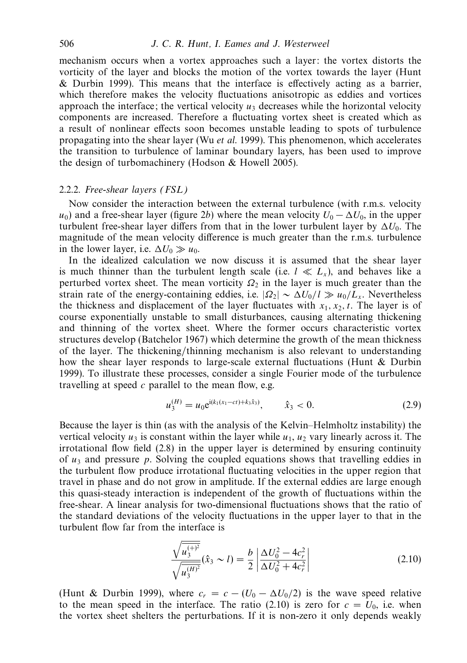mechanism occurs when a vortex approaches such a layer: the vortex distorts the vorticity of the layer and blocks the motion of the vortex towards the layer (Hunt & Durbin 1999). This means that the interface is effectively acting as a barrier, which therefore makes the velocity fluctuations anisotropic as eddies and vortices approach the interface; the vertical velocity  $u_3$  decreases while the horizontal velocity components are increased. Therefore a fluctuating vortex sheet is created which as a result of nonlinear effects soon becomes unstable leading to spots of turbulence propagating into the shear layer (Wu et al. 1999). This phenomenon, which accelerates the transition to turbulence of laminar boundary layers, has been used to improve the design of turbomachinery (Hodson & Howell 2005).

#### 2.2.2. Free-shear layers (FSL)

Now consider the interaction between the external turbulence (with r.m.s. velocity *u*<sub>0</sub>) and a free-shear layer (figure 2*b*) where the mean velocity  $U_0 - \Delta U_0$ , in the upper turbulent free-shear layer differs from that in the lower turbulent layer by  $\Delta U_0$ . The magnitude of the mean velocity difference is much greater than the r.m.s. turbulence in the lower layer, i.e.  $\Delta U_0 \gg u_0$ .

In the idealized calculation we now discuss it is assumed that the shear layer is much thinner than the turbulent length scale (i.e.  $l \ll L_x$ ), and behaves like a perturbed vortex sheet. The mean vorticity  $\Omega_2$  in the layer is much greater than the strain rate of the energy-containing eddies, i.e.  $|\Omega_2| \sim \Delta U_0 / l \gg u_0 / L_x$ . Nevertheless the thickness and displacement of the layer fluctuates with  $x_1, x_2, t$ . The layer is of course exponentially unstable to small disturbances, causing alternating thickening and thinning of the vortex sheet. Where the former occurs characteristic vortex structures develop (Batchelor 1967) which determine the growth of the mean thickness of the layer. The thickening/thinning mechanism is also relevant to understanding how the shear layer responds to large-scale external fluctuations (Hunt & Durbin 1999). To illustrate these processes, consider a single Fourier mode of the turbulence travelling at speed *c* parallel to the mean flow, e.g.

$$
u_3^{(H)} = u_0 e^{i(k_1(x_1 - ct) + k_3 \hat{x}_3)}, \qquad \hat{x}_3 < 0. \tag{2.9}
$$

Because the layer is thin (as with the analysis of the Kelvin–Helmholtz instability) the vertical velocity  $u_3$  is constant within the layer while  $u_1, u_2$  vary linearly across it. The irrotational flow field (2.8) in the upper layer is determined by ensuring continuity of *u*<sup>3</sup> and pressure *p*. Solving the coupled equations shows that travelling eddies in the turbulent flow produce irrotational fluctuating velocities in the upper region that travel in phase and do not grow in amplitude. If the external eddies are large enough this quasi-steady interaction is independent of the growth of fluctuations within the free-shear. A linear analysis for two-dimensional fluctuations shows that the ratio of the standard deviations of the velocity fluctuations in the upper layer to that in the turbulent flow far from the interface is

$$
\frac{\sqrt{u_3^{(+)2}}}{\sqrt{u_3^{(H)^2}}}(\hat{x}_3 \sim l) = \frac{b}{2} \left| \frac{\Delta U_0^2 - 4c_r^2}{\Delta U_0^2 + 4c_r^2} \right| \tag{2.10}
$$

(Hunt & Durbin 1999), where  $c_r = c - (U_0 - \Delta U_0/2)$  is the wave speed relative to the mean speed in the interface. The ratio (2.10) is zero for  $c = U_0$ , i.e. when the vortex sheet shelters the perturbations. If it is non-zero it only depends weakly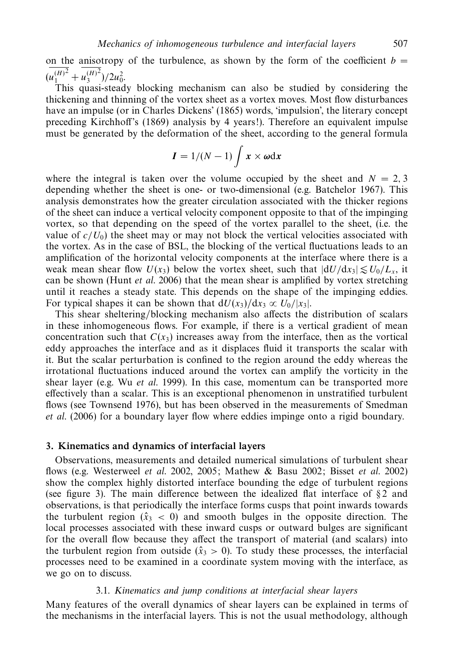on the anisotropy of the turbulence, as shown by the form of the coefficient  $b =$  $(u_1^{(H)}$  $^{2}+u_{3}^{(H)}$  $^{2})/2u_{0}^{2}$ .

This quasi-steady blocking mechanism can also be studied by considering the thickening and thinning of the vortex sheet as a vortex moves. Most flow disturbances have an impulse (or in Charles Dickens' (1865) words, 'impulsion', the literary concept preceding Kirchhoff's (1869) analysis by 4 years!). Therefore an equivalent impulse must be generated by the deformation of the sheet, according to the general formula

$$
I = 1/(N-1)\int x \times \omega \mathrm{d}x
$$

where the integral is taken over the volume occupied by the sheet and  $N = 2, 3$ depending whether the sheet is one- or two-dimensional (e.g. Batchelor 1967). This analysis demonstrates how the greater circulation associated with the thicker regions of the sheet can induce a vertical velocity component opposite to that of the impinging vortex, so that depending on the speed of the vortex parallel to the sheet, (i.e. the value of  $c/U_0$ ) the sheet may or may not block the vertical velocities associated with the vortex. As in the case of BSL, the blocking of the vertical fluctuations leads to an amplification of the horizontal velocity components at the interface where there is a weak mean shear flow  $U(x_3)$  below the vortex sheet, such that  $|dU/dx_3| \lesssim U_0/L_r$ , it can be shown (Hunt *et al.* 2006) that the mean shear is amplified by vortex stretching until it reaches a steady state. This depends on the shape of the impinging eddies. For typical shapes it can be shown that  $dU(x_3)/dx_3 \propto U_0/|x_3|$ .

This shear sheltering/blocking mechanism also affects the distribution of scalars in these inhomogeneous flows. For example, if there is a vertical gradient of mean concentration such that  $C(x_3)$  increases away from the interface, then as the vortical eddy approaches the interface and as it displaces fluid it transports the scalar with it. But the scalar perturbation is confined to the region around the eddy whereas the irrotational fluctuations induced around the vortex can amplify the vorticity in the shear layer (e.g. Wu *et al.* 1999). In this case, momentum can be transported more effectively than a scalar. This is an exceptional phenomenon in unstratified turbulent flows (see Townsend 1976), but has been observed in the measurements of Smedman et al. (2006) for a boundary layer flow where eddies impinge onto a rigid boundary.

#### *3. Kinematics and dynamics of interfacial layers*

Observations, measurements and detailed numerical simulations of turbulent shear flows (e.g. Westerweel et al. 2002, 2005; Mathew & Basu 2002; Bisset et al. 2002) show the complex highly distorted interface bounding the edge of turbulent regions (see figure 3). The main difference between the idealized flat interface of  $\S$ 2 and observations, is that periodically the interface forms cusps that point inwards towards the turbulent region  $(\hat{x}_3 < 0)$  and smooth bulges in the opposite direction. The local processes associated with these inward cusps or outward bulges are significant for the overall flow because they affect the transport of material (and scalars) into the turbulent region from outside ( $\hat{x}_3 > 0$ ). To study these processes, the interfacial processes need to be examined in a coordinate system moving with the interface, as we go on to discuss.

#### 3.1. Kinematics and jump conditions at interfacial shear layers

Many features of the overall dynamics of shear layers can be explained in terms of the mechanisms in the interfacial layers. This is not the usual methodology, although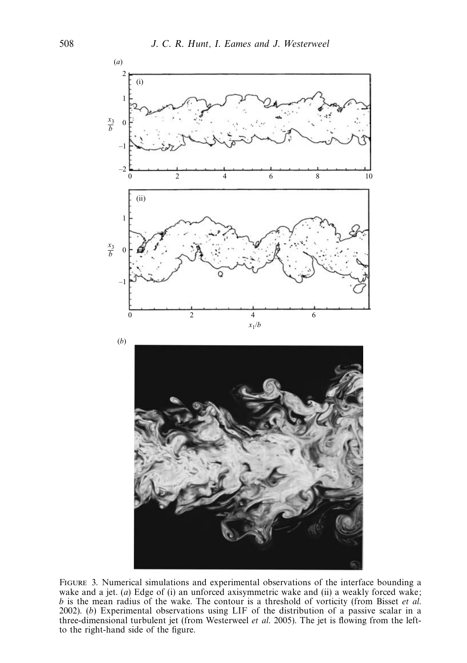

FIGURE 3. Numerical simulations and experimental observations of the interface bounding a wake and a jet. (a) Edge of (i) an unforced axisymmetric wake and (ii) a weakly forced wake; *b* is the mean radius of the wake. The contour is a threshold of vorticity (from Bisset et al. 2002). (b) Experimental observations using LIF of the distribution of a passive scalar in a three-dimensional turbulent jet (from Westerweel et al. 2005). The jet is flowing from the leftto the right-hand side of the figure.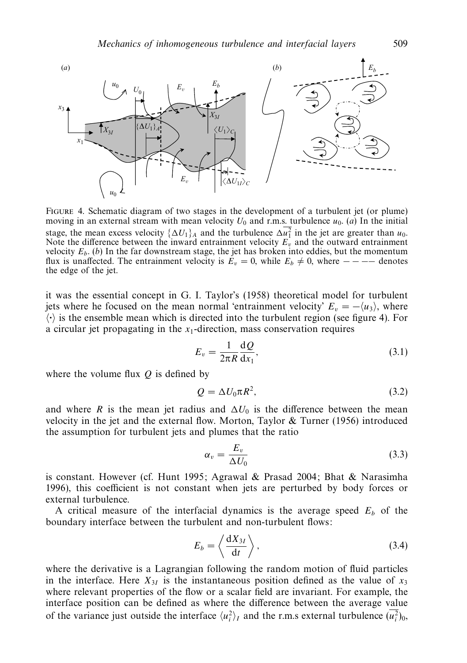

Figure 4. Schematic diagram of two stages in the development of a turbulent jet (or plume) moving in an external stream with mean velocity  $U_0$  and r.m.s. turbulence  $u_0$ . (a) In the initial stage, the mean excess velocity  $\{\Delta U_1\}_A$  and the turbulence  $\Delta u_1^2$  in the jet are greater than  $u_0$ . Note the difference between the inward entrainment velocity  $E_v$  and the outward entrainment velocity  $E_b$ . (b) In the far downstream stage, the jet has broken into eddies, but the momentum flux is unaffected. The entrainment velocity is  $\vec{E}_v = 0$ , while  $E_b \neq 0$ , where  $---$  denotes the edge of the jet.

it was the essential concept in G. I. Taylor's (1958) theoretical model for turbulent jets where he focused on the mean normal 'entrainment velocity'  $E_v = -\langle u_3 \rangle$ , where  $\langle \cdot \rangle$  is the ensemble mean which is directed into the turbulent region (see figure 4). For a circular jet propagating in the *x*1-direction, mass conservation requires

$$
E_v = \frac{1}{2\pi R} \frac{\mathrm{d}Q}{\mathrm{d}x_1},\tag{3.1}
$$

where the volume flux *Q* is defined by

$$
Q = \Delta U_0 \pi R^2,\tag{3.2}
$$

and where *R* is the mean jet radius and  $\Delta U_0$  is the difference between the mean velocity in the jet and the external flow. Morton, Taylor & Turner (1956) introduced the assumption for turbulent jets and plumes that the ratio

$$
\alpha_v = \frac{E_v}{\Delta U_0} \tag{3.3}
$$

is constant. However (cf. Hunt 1995; Agrawal & Prasad 2004; Bhat & Narasimha 1996), this coefficient is not constant when jets are perturbed by body forces or external turbulence.

A critical measure of the interfacial dynamics is the average speed  $E<sub>b</sub>$  of the boundary interface between the turbulent and non-turbulent flows:

$$
E_b = \left\langle \frac{\mathrm{d}X_{3I}}{\mathrm{d}t} \right\rangle, \tag{3.4}
$$

where the derivative is a Lagrangian following the random motion of fluid particles in the interface. Here  $X_{3I}$  is the instantaneous position defined as the value of  $x_3$ where relevant properties of the flow or a scalar field are invariant. For example, the interface position can be defined as where the difference between the average value of the variance just outside the interface  $\langle u_i^2 \rangle_l$  and the r.m.s external turbulence  $(u_i^2)_0$ ,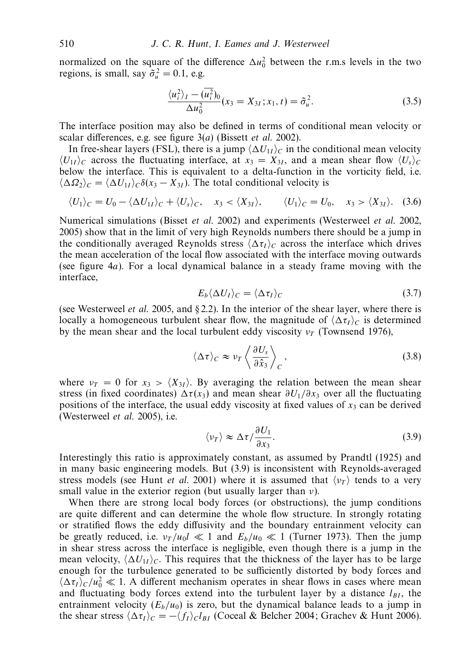normalized on the square of the difference  $\Delta u_0^2$  between the r.m.s levels in the two regions, is small, say  $\tilde{\sigma}_u^2 = 0.1$ , e.g.

$$
\frac{\langle u_i^2 \rangle_I - (\overline{u_i^2})_0}{\Delta u_0^2}(x_3 = X_{3I}; x_1, t) = \tilde{\sigma}_u^2.
$$
 (3.5)

The interface position may also be defined in terms of conditional mean velocity or scalar differences, e.g. see figure 3(a) (Bissett et al. 2002).

In free-shear layers (FSL), there is a jump  $\langle \Delta U_{1I} \rangle_C$  in the conditional mean velocity  $\langle U_{11} \rangle_C$  across the fluctuating interface, at  $x_3 = X_{3}$ , and a mean shear flow  $\langle U_s \rangle_C$ below the interface. This is equivalent to a delta-function in the vorticity field, i.e.  $\langle \Delta \Omega_2 \rangle_C = \langle \Delta U_{1I} \rangle_C \delta(x_3 - X_{3I})$ . The total conditional velocity is

$$
\langle U_1 \rangle_C = U_0 - \langle \Delta U_{1I} \rangle_C + \langle U_s \rangle_C, \quad x_3 < \langle X_{3I} \rangle, \qquad \langle U_1 \rangle_C = U_0, \quad x_3 > \langle X_{3I} \rangle. \tag{3.6}
$$

Numerical simulations (Bisset et al. 2002) and experiments (Westerweel et al. 2002, 2005) show that in the limit of very high Reynolds numbers there should be a jump in the conditionally averaged Reynolds stress  $\langle \Delta \tau_l \rangle_c$  across the interface which drives the mean acceleration of the local flow associated with the interface moving outwards (see figure 4*a*). For a local dynamical balance in a steady frame moving with the interface,

$$
E_b \langle \Delta U_I \rangle_C = \langle \Delta \tau_I \rangle_C \tag{3.7}
$$

(see Westerweel *et al.* 2005, and § 2.2). In the interior of the shear layer, where there is locally a homogeneous turbulent shear flow, the magnitude of  $\langle \Delta \tau_l \rangle_c$  is determined by the mean shear and the local turbulent eddy viscosity  $v_T$  (Townsend 1976),

$$
\langle \Delta \tau \rangle_C \approx \nu_T \left\langle \frac{\partial U_s}{\partial \hat{x}_3} \right\rangle_C, \tag{3.8}
$$

where  $v_T = 0$  for  $x_3 > \langle X_{3I} \rangle$ . By averaging the relation between the mean shear stress (in fixed coordinates)  $\Delta \tau(x_3)$  and mean shear  $\partial U_1/\partial x_3$  over all the fluctuating positions of the interface, the usual eddy viscosity at fixed values of  $x_3$  can be derived (Westerweel et al. 2005), i.e.

$$
\langle v_T \rangle \approx \Delta \tau / \frac{\partial U_1}{\partial x_3}.
$$
\n(3.9)

Interestingly this ratio is approximately constant, as assumed by Prandtl (1925) and in many basic engineering models. But (3.9) is inconsistent with Reynolds-averaged stress models (see Hunt *et al.* 2001) where it is assumed that  $\langle v_T \rangle$  tends to a very small value in the exterior region (but usually larger than *ν*).

When there are strong local body forces (or obstructions), the jump conditions are quite different and can determine the whole flow structure. In strongly rotating or stratified flows the eddy diffusivity and the boundary entrainment velocity can be greatly reduced, i.e.  $v_T/u_0 l \ll 1$  and  $E_b/u_0 \ll 1$  (Turner 1973). Then the jump in shear stress across the interface is negligible, even though there is a jump in the mean velocity,  $\langle \Delta U_{1I} \rangle_C$ . This requires that the thickness of the layer has to be large enough for the turbulence generated to be sufficiently distorted by body forces and  $\langle \Delta \tau_I \rangle_C / u_0^2 \ll 1$ . A different mechanism operates in shear flows in cases where mean and fluctuating body forces extend into the turbulent layer by a distance  $l_{BL}$ , the entrainment velocity  $(E_b/u_0)$  is zero, but the dynamical balance leads to a jump in the shear stress  $\langle \Delta \tau_l \rangle_c = -\langle f_l \rangle_c l_{BI}$  (Coceal & Belcher 2004; Grachev & Hunt 2006).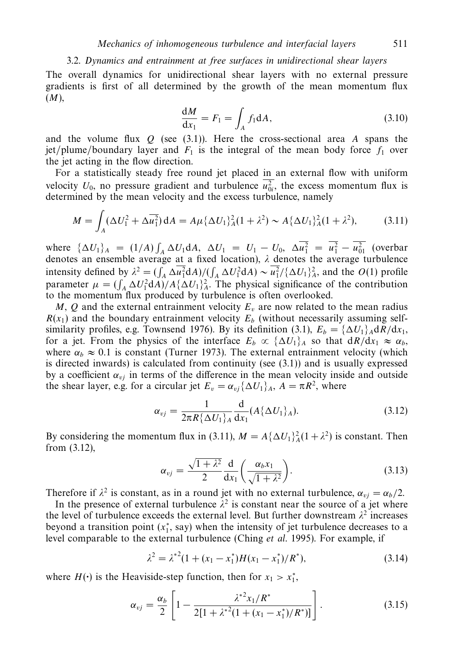## 3.2. Dynamics and entrainment at free surfaces in unidirectional shear layers

The overall dynamics for unidirectional shear layers with no external pressure gradients is first of all determined by the growth of the mean momentum flux (*M*),

$$
\frac{\mathrm{d}M}{\mathrm{d}x_1} = F_1 = \int_A f_1 \mathrm{d}A,\tag{3.10}
$$

and the volume flux *Q* (see (3.1)). Here the cross-sectional area *A* spans the jet/plume/boundary layer and  $F_1$  is the integral of the mean body force  $f_1$  over the jet acting in the flow direction.

For a statistically steady free round jet placed in an external flow with uniform velocity  $U_0$ , no pressure gradient and turbulence  $u_{0i}^2$ , the excess momentum flux is determined by the mean velocity and the excess turbulence, namely

$$
M = \int_A (\Delta U_1^2 + \Delta \overline{u_1^2}) dA = A\mu \{\Delta U_1\}_A^2 (1 + \lambda^2) \sim A \{\Delta U_1\}_A^2 (1 + \lambda^2),
$$
 (3.11)

where  $\{\Delta U_1\}_A = (1/A)\int_A \Delta U_1 dA$ ,  $\Delta U_1 = U_1 - U_0$ ,  $\Delta u_1^2 = u_1^2 - u_{01}^2$  (overbar denotes an ensemble average at a fixed location), *λ* denotes the average turbulence intensity defined by  $\lambda^2 = (\int_A \Delta u_1^2 dA)/(\int_A \Delta U_1^2 dA) \sim u_1^2 / {\Delta U_1}_{A}^2$ , and the *O*(1) profile parameter  $\mu = (\int_A \Delta U_1^2 dA)/A \{\Delta U_1\}_A^2$ . The physical significance of the contribution to the momentum flux produced by turbulence is often overlooked.

*M*, *Q* and the external entrainment velocity  $E<sub>v</sub>$  are now related to the mean radius  $R(x_1)$  and the boundary entrainment velocity  $E_b$  (without necessarily assuming selfsimilarity profiles, e.g. Townsend 1976). By its definition (3.1),  $E_b = {\Delta U_1}_A dR/dx_1$ , for a jet. From the physics of the interface  $E_b \propto {\Delta U_1}_A$  so that  $dR/dx_1 \approx \alpha_b$ , where  $\alpha_b \approx 0.1$  is constant (Turner 1973). The external entrainment velocity (which is directed inwards) is calculated from continuity (see  $(3.1)$ ) and is usually expressed by a coefficient  $\alpha_{vi}$  in terms of the difference in the mean velocity inside and outside the shear layer, e.g. for a circular jet  $E_v = \alpha_{vi} {\{\Delta U_1\}_A}$ ,  $A = \pi R^2$ , where

$$
\alpha_{vj} = \frac{1}{2\pi R \{\Delta U_1\}_A} \frac{d}{dx_1} (A \{\Delta U_1\}_A).
$$
 (3.12)

By considering the momentum flux in (3.11),  $M = A\{\Delta U_1\}_A^2(1 + \lambda^2)$  is constant. Then from (3.12),

$$
\alpha_{vj} = \frac{\sqrt{1+\lambda^2}}{2} \frac{d}{dx_1} \left( \frac{\alpha_b x_1}{\sqrt{1+\lambda^2}} \right).
$$
 (3.13)

Therefore if  $\lambda^2$  is constant, as in a round jet with no external turbulence,  $\alpha_{vj} = \alpha_b/2$ .

In the presence of external turbulence  $\lambda^2$  is constant near the source of a jet where the level of turbulence exceeds the external level. But further downstream  $\lambda^2$  increases beyond a transition point  $(x_1^*$ , say) when the intensity of jet turbulence decreases to a level comparable to the external turbulence (Ching et al. 1995). For example, if

$$
\lambda^2 = \lambda^{*2} (1 + (x_1 - x_1^*) H (x_1 - x_1^*) / R^*), \tag{3.14}
$$

where  $H(\cdot)$  is the Heaviside-step function, then for  $x_1 > x_1^*$ ,

$$
\alpha_{vj} = \frac{\alpha_b}{2} \left[ 1 - \frac{\lambda^{*2} x_1 / R^*}{2[1 + \lambda^{*2} (1 + (x_1 - x_1^*) / R^*)]} \right].
$$
\n(3.15)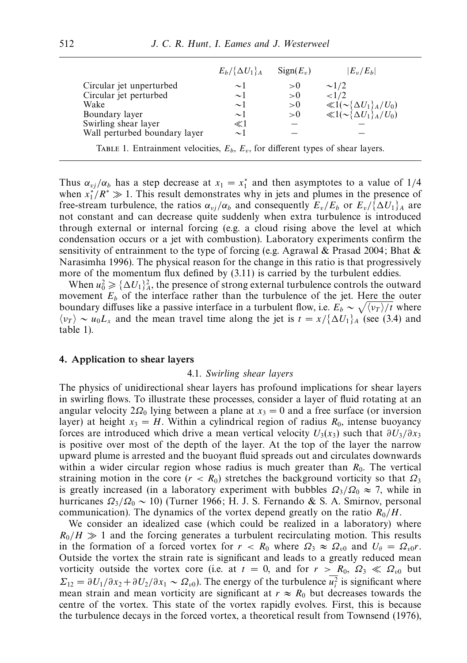|                                                                                       | $E_b/\{\Delta U_1\}_A$ | $Sign(E_v)$ | $E_v/E_b$                                |
|---------------------------------------------------------------------------------------|------------------------|-------------|------------------------------------------|
| Circular jet unperturbed                                                              | $\sim$ 1               | > 0         | $\sim$ 1/2                               |
| Circular jet perturbed                                                                | $\sim$ 1               | >0          | 1/2                                      |
| Wake                                                                                  | $\sim$ 1               | >0          | $\ll 1(\sim {\Delta U_1}_A/U_0)$         |
| Boundary layer                                                                        | $\sim$ 1               | >0          | $\ll 1$ ( $\sim \Delta U_1$ ) $_A/U_0$ ) |
| Swirling shear layer                                                                  | $\ll$ 1                |             |                                          |
| Wall perturbed boundary layer                                                         | $\sim$ 1               |             |                                          |
| TABLE 1. Entrainment velocities, $E_b$ , $E_v$ , for different types of shear layers. |                        |             |                                          |

Thus  $\alpha_{vj}/\alpha_b$  has a step decrease at  $x_1 = x_1^*$  and then asymptotes to a value of 1/4 when  $x_1^*/R^* \gg 1$ . This result demonstrates why in jets and plumes in the presence of free-stream turbulence, the ratios  $\alpha_{vi}/\alpha_b$  and consequently  $E_v/E_b$  or  $E_v/\{\Delta U_i\}_A$  are not constant and can decrease quite suddenly when extra turbulence is introduced through external or internal forcing (e.g. a cloud rising above the level at which condensation occurs or a jet with combustion). Laboratory experiments confirm the sensitivity of entrainment to the type of forcing (e.g. Agrawal & Prasad 2004; Bhat  $\&$ Narasimha 1996). The physical reason for the change in this ratio is that progressively more of the momentum flux defined by (3.11) is carried by the turbulent eddies.

When  $u_0^2 \geq \{\Delta U_1\}_{A}^2$ , the presence of strong external turbulence controls the outward movement  $E_b$  of the interface rather than the turbulence of the jet. Here the outer boundary diffuses like a passive interface in a turbulent flow, i.e.  $E_b \sim \sqrt{\langle v_T \rangle / t}$  where  $\langle v_T \rangle \sim u_0 L_x$  and the mean travel time along the jet is  $t = x / {\Delta U_1}$ *A* (see (3.4) and table 1).

#### *4. Application to shear layers*

#### 4.1. Swirling shear layers

The physics of unidirectional shear layers has profound implications for shear layers in swirling flows. To illustrate these processes, consider a layer of fluid rotating at an angular velocity  $2\Omega_0$  lying between a plane at  $x_3 = 0$  and a free surface (or inversion layer) at height  $x_3 = H$ . Within a cylindrical region of radius  $R_0$ , intense buoyancy forces are introduced which drive a mean vertical velocity  $U_3(x_3)$  such that  $\partial U_3/\partial x_3$ is positive over most of the depth of the layer. At the top of the layer the narrow upward plume is arrested and the buoyant fluid spreads out and circulates downwards within a wider circular region whose radius is much greater than  $R_0$ . The vertical straining motion in the core  $(r < R_0)$  stretches the background vorticity so that  $\Omega_3$ is greatly increased (in a laboratory experiment with bubbles  $\Omega_3/\Omega_0 \approx 7$ , while in hurricanes *Ω*3*/Ω*<sup>0</sup> ∼ 10) (Turner 1966; H. J. S. Fernando & S. A. Smirnov, personal communication). The dynamics of the vortex depend greatly on the ratio  $R_0/H$ .

We consider an idealized case (which could be realized in a laboratory) where  $R_0/H \gg 1$  and the forcing generates a turbulent recirculating motion. This results in the formation of a forced vortex for  $r < R_0$  where  $\Omega_3 \approx \Omega_{v0}$  and  $U_\theta = \Omega_{v0}r$ . Outside the vortex the strain rate is significant and leads to a greatly reduced mean vorticity outside the vortex core (i.e. at  $t = 0$ , and for  $r > R_0$ ,  $\Omega_3 \ll \Omega_{v0}$  but  $\Sigma_{12} = \partial U_1/\partial x_2 + \partial U_2/\partial x_1 \sim \Omega_{\nu 0}$ . The energy of the turbulence  $u_i^2$  is significant where mean strain and mean vorticity are significant at  $r \approx R_0$  but decreases towards the centre of the vortex. This state of the vortex rapidly evolves. First, this is because the turbulence decays in the forced vortex, a theoretical result from Townsend (1976),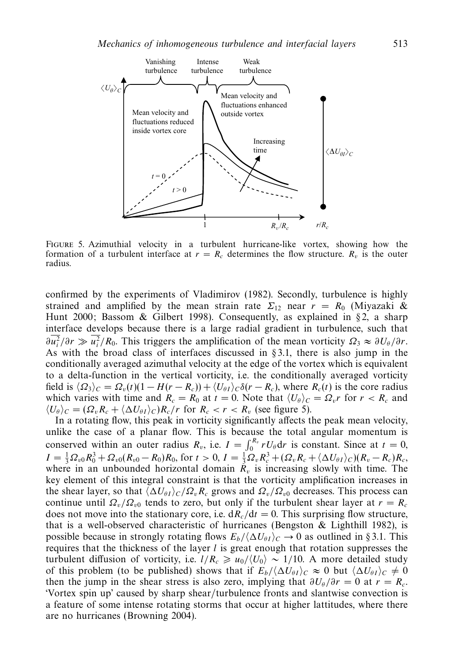

Figure 5. Azimuthial velocity in a turbulent hurricane-like vortex, showing how the formation of a turbulent interface at  $r = R_c$  determines the flow structure.  $R_v$  is the outer radius.

confirmed by the experiments of Vladimirov (1982). Secondly, turbulence is highly strained and amplified by the mean strain rate  $\Sigma_{12}$  near  $r = R_0$  (Miyazaki & Hunt 2000; Bassom & Gilbert 1998). Consequently, as explained in §2, a sharp interface develops because there is a large radial gradient in turbulence, such that  $\partial u_i^2 / \partial r \gg u_i^2 / R_0$ . This triggers the amplification of the mean vorticity  $\Omega_3 \approx \partial U_\theta / \partial r$ . As with the broad class of interfaces discussed in § 3.1, there is also jump in the conditionally averaged azimuthal velocity at the edge of the vortex which is equivalent to a delta-function in the vertical vorticity, i.e. the conditionally averaged vorticity field is  $\langle \Omega_3 \rangle_C = \Omega_v(t)(1 - H(r - R_c)) + \langle U_{\theta I} \rangle_C \delta(r - R_c)$ , where  $R_c(t)$  is the core radius which varies with time and  $R_c = R_0$  at  $t = 0$ . Note that  $\langle U_\theta \rangle_c = \Omega_v r$  for  $r < R_c$  and  $\langle U_{\theta} \rangle_C = (\Omega_v R_c + \langle \Delta U_{\theta I} \rangle_C) R_c/r$  for  $R_c < r < R_v$  (see figure 5).

In a rotating flow, this peak in vorticity significantly affects the peak mean velocity, unlike the case of a planar flow. This is because the total angular momentum is conserved within an outer radius  $R_v$ , i.e.  $I = \int_0^{R_v} r U_\theta dr$  is constant. Since at  $t = 0$ ,  $I = \frac{1}{3} \Omega_{v0} R_0^3 + \Omega_{v0} (R_{v0} - R_0) R_0$ , for  $t > 0$ ,  $I = \frac{1}{3} \Omega_v R_c^3 + (\Omega_v R_c + \langle \Delta U_{\theta I} \rangle_C) (R_v - R_c) R_c$ , where in an unbounded horizontal domain  $\mathring{R}_v$  is increasing slowly with time. The key element of this integral constraint is that the vorticity amplification increases in the shear layer, so that  $\langle \Delta U_{\theta I} \rangle_C / \Omega_v R_c$  grows and  $\Omega_v / \Omega_v$  decreases. This process can continue until  $\Omega_v/\Omega_v$  tends to zero, but only if the turbulent shear layer at  $r = R_c$ does not move into the stationary core, i.e.  $dR_c/dt = 0$ . This surprising flow structure, that is a well-observed characteristic of hurricanes (Bengston  $\&$  Lighthill 1982), is possible because in strongly rotating flows  $E_b/\langle \Delta U_{\theta I} \rangle_C \rightarrow 0$  as outlined in §3.1. This requires that the thickness of the layer *l* is great enough that rotation suppresses the turbulent diffusion of vorticity, i.e.  $l/R_c \geq u_0/\langle U_0 \rangle \sim 1/10$ . A more detailed study of this problem (to be published) shows that if  $E_b/\langle \Delta U_{\theta I} \rangle_c \approx 0$  but  $\langle \Delta U_{\theta I} \rangle_c \neq 0$ then the jump in the shear stress is also zero, implying that  $\partial U_{\theta}/\partial r = 0$  at  $r = R_c$ . 'Vortex spin up' caused by sharp shear/turbulence fronts and slantwise convection is a feature of some intense rotating storms that occur at higher lattitudes, where there are no hurricanes (Browning 2004).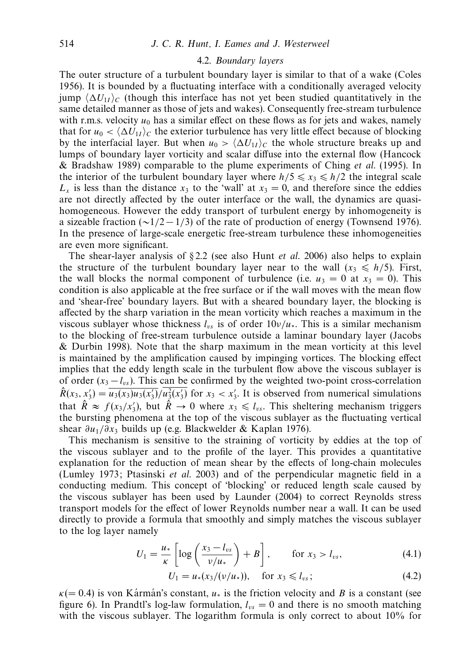#### 4.2. Boundary layers

The outer structure of a turbulent boundary layer is similar to that of a wake (Coles 1956). It is bounded by a fluctuating interface with a conditionally averaged velocity jump  $\langle \Delta U_{1i} \rangle_c$  (though this interface has not yet been studied quantitatively in the same detailed manner as those of jets and wakes). Consequently free-stream turbulence with r.m.s. velocity  $u_0$  has a similar effect on these flows as for jets and wakes, namely that for  $u_0 < \langle \Delta U_{1I} \rangle_C$  the exterior turbulence has very little effect because of blocking by the interfacial layer. But when  $u_0 > \langle \Delta U_{1I} \rangle_C$  the whole structure breaks up and lumps of boundary layer vorticity and scalar diffuse into the external flow (Hancock & Bradshaw 1989) comparable to the plume experiments of Ching et al. (1995). In the interior of the turbulent boundary layer where  $h/5 \leq x_3 \leq h/2$  the integral scale  $L_x$  is less than the distance  $x_3$  to the 'wall' at  $x_3 = 0$ , and therefore since the eddies are not directly affected by the outer interface or the wall, the dynamics are quasihomogeneous. However the eddy transport of turbulent energy by inhomogeneity is a sizeable fraction (∼1*/*2−1*/*3) of the rate of production of energy (Townsend 1976). In the presence of large-scale energetic free-stream turbulence these inhomogeneities are even more significant.

The shear-layer analysis of  $\S 2.2$  (see also Hunt *et al.* 2006) also helps to explain the structure of the turbulent boundary layer near to the wall  $(x_3 \le h/5)$ . First, the wall blocks the normal component of turbulence (i.e.  $u_3 = 0$  at  $x_3 = 0$ ). This condition is also applicable at the free surface or if the wall moves with the mean flow and 'shear-free' boundary layers. But with a sheared boundary layer, the blocking is affected by the sharp variation in the mean vorticity which reaches a maximum in the viscous sublayer whose thickness  $l_{vs}$  is of order  $10v/u_*$ . This is a similar mechanism to the blocking of free-stream turbulence outside a laminar boundary layer (Jacobs & Durbin 1998). Note that the sharp maximum in the mean vorticity at this level is maintained by the amplification caused by impinging vortices. The blocking effect implies that the eddy length scale in the turbulent flow above the viscous sublayer is of order  $(x_3 - l_{vs})$ . This can be confirmed by the weighted two-point cross-correlation  $\hat{R}(x_3, x_3') = \overline{u_3(x_3)u_3(x_3')} / \overline{u_3^2(x_3')}$  for  $x_3 < x_3'$ . It is observed from numerical simulations that  $\hat{R} \approx f(x_3/x_3)$ , but  $\hat{R} \to 0$  where  $x_3 \leq l_{vs}$ . This sheltering mechanism triggers the bursting phenomena at the top of the viscous sublayer as the fluctuating vertical shear *∂u*1*/∂x*<sup>3</sup> builds up (e.g. Blackwelder & Kaplan 1976).

This mechanism is sensitive to the straining of vorticity by eddies at the top of the viscous sublayer and to the profile of the layer. This provides a quantitative explanation for the reduction of mean shear by the effects of long-chain molecules (Lumley 1973; Ptasinski et al. 2003) and of the perpendicular magnetic field in a conducting medium. This concept of 'blocking' or reduced length scale caused by the viscous sublayer has been used by Launder (2004) to correct Reynolds stress transport models for the effect of lower Reynolds number near a wall. It can be used directly to provide a formula that smoothly and simply matches the viscous sublayer to the log layer namely

$$
U_1 = \frac{u_*}{\kappa} \left[ \log \left( \frac{x_3 - l_{vs}}{\nu / u_*} \right) + B \right], \qquad \text{for } x_3 > l_{vs}, \tag{4.1}
$$

$$
U_1 = u_*(x_3/(\nu/u_*)), \quad \text{for } x_3 \le l_{vs}; \tag{4.2}
$$

 $\kappa$ (= 0.4) is von Karman's constant,  $u_*$  is the friction velocity and *B* is a constant (see figure 6). In Prandtl's log-law formulation,  $l_{vs} = 0$  and there is no smooth matching with the viscous sublayer. The logarithm formula is only correct to about 10% for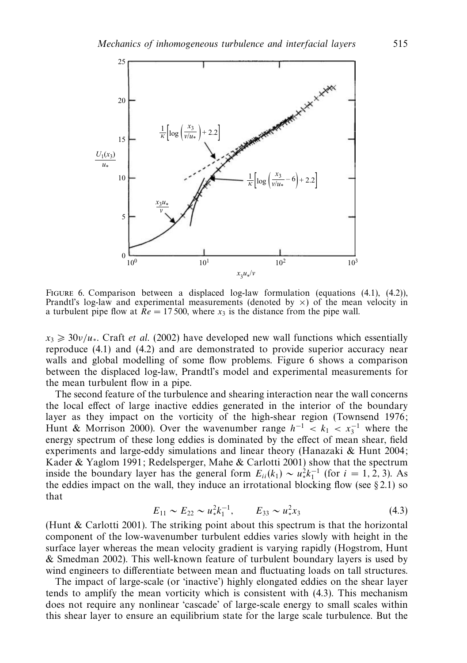

FIGURE 6. Comparison between a displaced log-law formulation (equations (4.1), (4.2)), Prandtl's log-law and experimental measurements (denoted by  $\times$ ) of the mean velocity in a turbulent pipe flow at  $Re = 17500$ , where  $x<sub>3</sub>$  is the distance from the pipe wall.

 $x_3 \geq 30\nu/u_*$ . Craft *et al.* (2002) have developed new wall functions which essentially reproduce (4.1) and (4.2) and are demonstrated to provide superior accuracy near walls and global modelling of some flow problems. Figure 6 shows a comparison between the displaced log-law, Prandtl's model and experimental measurements for the mean turbulent flow in a pipe.

The second feature of the turbulence and shearing interaction near the wall concerns the local effect of large inactive eddies generated in the interior of the boundary layer as they impact on the vorticity of the high-shear region (Townsend 1976; Hunt & Morrison 2000). Over the wavenumber range  $h^{-1} < k_1 < x_3^{-1}$  where the energy spectrum of these long eddies is dominated by the effect of mean shear, field experiments and large-eddy simulations and linear theory (Hanazaki & Hunt 2004; Kader & Yaglom 1991; Redelsperger, Mahe & Carlotti 2001) show that the spectrum inside the boundary layer has the general form  $E_{ii}(k_1) \sim u_*^2 k_1^{-1}$  (for  $i = 1, 2, 3$ ). As the eddies impact on the wall, they induce an irrotational blocking flow (see  $\S 2.1$ ) so that

$$
E_{11} \sim E_{22} \sim u_*^2 k_1^{-1}, \qquad E_{33} \sim u_*^2 x_3 \tag{4.3}
$$

(Hunt & Carlotti 2001). The striking point about this spectrum is that the horizontal component of the low-wavenumber turbulent eddies varies slowly with height in the surface layer whereas the mean velocity gradient is varying rapidly (Hogstrom, Hunt & Smedman 2002). This well-known feature of turbulent boundary layers is used by wind engineers to differentiate between mean and fluctuating loads on tall structures.

The impact of large-scale (or 'inactive') highly elongated eddies on the shear layer tends to amplify the mean vorticity which is consistent with (4.3). This mechanism does not require any nonlinear 'cascade' of large-scale energy to small scales within this shear layer to ensure an equilibrium state for the large scale turbulence. But the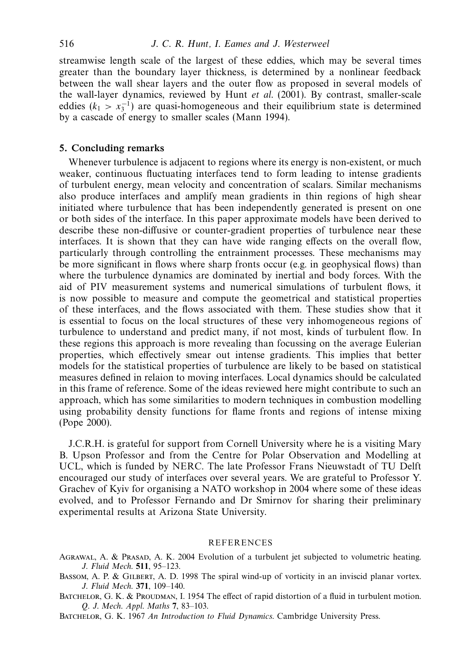streamwise length scale of the largest of these eddies, which may be several times greater than the boundary layer thickness, is determined by a nonlinear feedback between the wall shear layers and the outer flow as proposed in several models of the wall-layer dynamics, reviewed by Hunt et al. (2001). By contrast, smaller-scale eddies  $(k_1 > x_3^{-1})$  are quasi-homogeneous and their equilibrium state is determined by a cascade of energy to smaller scales (Mann 1994).

#### *5. Concluding remarks*

Whenever turbulence is adjacent to regions where its energy is non-existent, or much weaker, continuous fluctuating interfaces tend to form leading to intense gradients of turbulent energy, mean velocity and concentration of scalars. Similar mechanisms also produce interfaces and amplify mean gradients in thin regions of high shear initiated where turbulence that has been independently generated is present on one or both sides of the interface. In this paper approximate models have been derived to describe these non-diffusive or counter-gradient properties of turbulence near these interfaces. It is shown that they can have wide ranging effects on the overall flow, particularly through controlling the entrainment processes. These mechanisms may be more significant in flows where sharp fronts occur (e.g. in geophysical flows) than where the turbulence dynamics are dominated by inertial and body forces. With the aid of PIV measurement systems and numerical simulations of turbulent flows, it is now possible to measure and compute the geometrical and statistical properties of these interfaces, and the flows associated with them. These studies show that it is essential to focus on the local structures of these very inhomogeneous regions of turbulence to understand and predict many, if not most, kinds of turbulent flow. In these regions this approach is more revealing than focussing on the average Eulerian properties, which effectively smear out intense gradients. This implies that better models for the statistical properties of turbulence are likely to be based on statistical measures defined in relaion to moving interfaces. Local dynamics should be calculated in this frame of reference. Some of the ideas reviewed here might contribute to such an approach, which has some similarities to modern techniques in combustion modelling using probability density functions for flame fronts and regions of intense mixing (Pope 2000).

J.C.R.H. is grateful for support from Cornell University where he is a visiting Mary B. Upson Professor and from the Centre for Polar Observation and Modelling at UCL, which is funded by NERC. The late Professor Frans Nieuwstadt of TU Delft encouraged our study of interfaces over several years. We are grateful to Professor Y. Grachev of Kyiv for organising a NATO workshop in 2004 where some of these ideas evolved, and to Professor Fernando and Dr Smirnov for sharing their preliminary experimental results at Arizona State University.

#### **REFERENCES**

- AGRAWAL, A. & PRASAD, A. K. 2004 Evolution of a turbulent jet subjected to volumetric heating. J. Fluid Mech. **511**, 95–123.
- Bassom, A. P. & Gilbert, A. D. 1998 The spiral wind-up of vorticity in an inviscid planar vortex. J. Fluid Mech. **371**, 109–140.
- BATCHELOR, G. K. & PROUDMAN, I. 1954 The effect of rapid distortion of a fluid in turbulent motion. Q. J. Mech. Appl. Maths **7**, 83–103.

Batchelor, G. K. 1967 An Introduction to Fluid Dynamics. Cambridge University Press.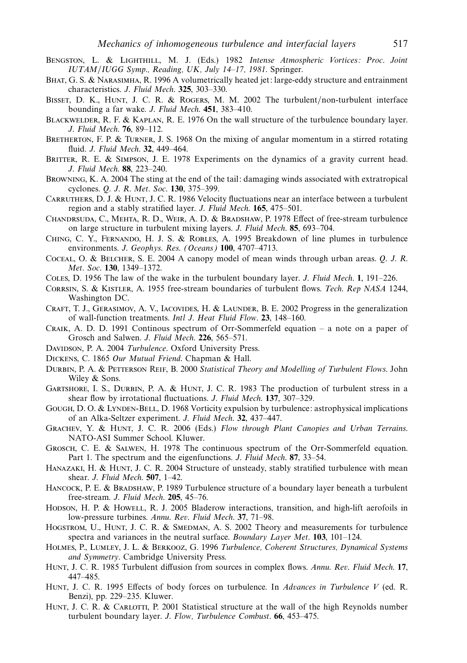- Bengston, L. & Lighthill, M. J. (Eds.) 1982 Intense Atmospheric Vortices: Proc. Joint IUTAM/IUGG Symp., Reading, UK, July 14–17, 1981. Springer.
- BHAT, G. S. & NARASIMHA, R. 1996 A volumetrically heated jet: large-eddy structure and entrainment characteristics. J. Fluid Mech. **325**, 303–330.
- Bisset, D. K., Hunt, J. C. R. & Rogers, M. M. 2002 The turbulent/non-turbulent interface bounding a far wake. J. Fluid Mech. **451**, 383–410.
- Blackwelder, R. F. & Kaplan, R. E. 1976 On the wall structure of the turbulence boundary layer. J. Fluid Mech. **76**, 89–112.
- BRETHERTON, F. P. & TURNER, J. S. 1968 On the mixing of angular momentum in a stirred rotating fluid. J. Fluid Mech. **32**, 449–464.
- BRITTER, R. E. & SIMPSON, J. E. 1978 Experiments on the dynamics of a gravity current head. J. Fluid Mech. **88**, 223–240.
- Browning, K. A. 2004 The sting at the end of the tail: damaging winds associated with extratropical cyclones. Q. J. R. Met. Soc. **130**, 375–399.
- CARRUTHERS, D. J. & HUNT, J. C. R. 1986 Velocity fluctuations near an interface between a turbulent region and a stably stratified layer. J. Fluid Mech. **165**, 475–501.
- Chandrsuda, C., Mehta, R. D., Weir, A. D. & Bradshaw, P. 1978 Effect of free-stream turbulence on large structure in turbulent mixing layers. J. Fluid Mech. **85**, 693–704.
- Ching, C. Y., Fernando, H. J. S. & Robles, A. 1995 Breakdown of line plumes in turbulence environments. J. Geophys. Res. (Oceans) **100**, 4707–4713.
- Coceal, O. & Belcher, S. E. 2004 A canopy model of mean winds through urban areas. Q. J. R. Met. Soc. **130**, 1349–1372.
- Coles, D. 1956 The law of the wake in the turbulent boundary layer. J. Fluid Mech. **1**, 191–226.
- Corrsin, S. & Kistler, A. 1955 free-stream boundaries of turbulent flows. Tech. Rep NASA 1244, Washington DC.
- Craft, T. J., Gerasimov, A. V., Iacovides, H. & Launder, B. E. 2002 Progress in the generalization of wall-function treatments. Intl J. Heat Fluid Flow. **23**, 148–160.
- Craik, A. D. D. 1991 Continous spectrum of Orr-Sommerfeld equation a note on a paper of Grosch and Salwen. J. Fluid Mech. **226**, 565–571.
- DAVIDSON, P. A. 2004 Turbulence. Oxford University Press.
- Dickens, C. 1865 Our Mutual Friend. Chapman & Hall.
- DURBIN, P. A. & PETTERSON REIF, B. 2000 Statistical Theory and Modelling of Turbulent Flows. John Wiley & Sons.
- GARTSHORE, I. S., DURBIN, P. A. & HUNT, J. C. R. 1983 The production of turbulent stress in a shear flow by irrotational fluctuations. J. Fluid Mech. **137**, 307–329.
- GOUGH, D. O. & LYNDEN-BELL, D. 1968 Vorticity expulsion by turbulence: astrophysical implications of an Alka-Seltzer experiment. J. Fluid Mech. **32**, 437–447.
- Grachev, Y. & Hunt, J. C. R. 2006 (Eds.) Flow through Plant Canopies and Urban Terrains. NATO-ASI Summer School. Kluwer.
- Grosch, C. E. & Salwen, H. 1978 The continuous spectrum of the Orr-Sommerfeld equation. Part 1. The spectrum and the eigenfunctions. J. Fluid Mech. **87**, 33–54.
- Hanazaki, H. & Hunt, J. C. R. 2004 Structure of unsteady, stably stratified turbulence with mean shear. J. Fluid Mech. **507**, 1–42.
- HANCOCK, P. E. & BRADSHAW, P. 1989 Turbulence structure of a boundary layer beneath a turbulent free-stream. J. Fluid Mech. **205**, 45–76.
- HODSON, H. P. & HOWELL, R. J. 2005 Bladerow interactions, transition, and high-lift aerofoils in low-pressure turbines. Annu. Rev. Fluid Mech. **37**, 71–98.
- HOGSTROM, U., HUNT, J. C. R. & SMEDMAN, A. S. 2002 Theory and measurements for turbulence spectra and variances in the neutral surface. Boundary Layer Met. **103**, 101–124.
- Holmes, P., Lumley, J. L. & Berkooz, G. 1996 Turbulence, Coherent Structures, Dynamical Systems and Symmetry. Cambridge University Press.
- Hunt, J. C. R. 1985 Turbulent diffusion from sources in complex flows. Annu. Rev. Fluid Mech. **17**, 447–485.
- HUNT, J. C. R. 1995 Effects of body forces on turbulence. In Advances in Turbulence V (ed. R. Benzi), pp. 229–235. Kluwer.
- HUNT, J. C. R. & CARLOTTI, P. 2001 Statistical structure at the wall of the high Reynolds number turbulent boundary layer. J. Flow, Turbulence Combust. **66**, 453–475.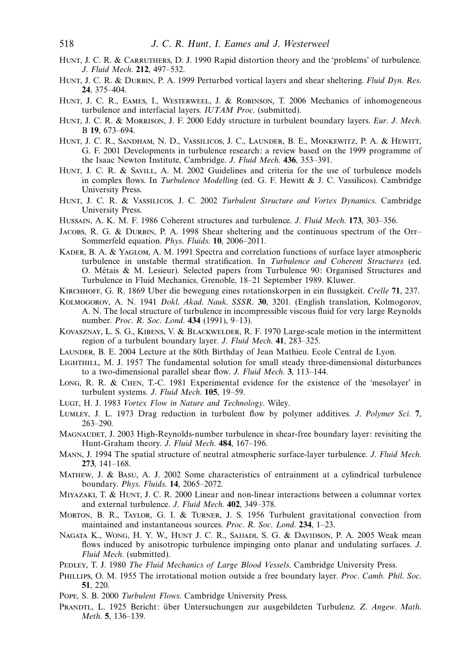- Hunt, J. C. R. & Carruthers, D. J. 1990 Rapid distortion theory and the 'problems' of turbulence. J. Fluid Mech. **212**, 497–532.
- Hunt, J. C. R. & Durbin, P. A. 1999 Perturbed vortical layers and shear sheltering. Fluid Dyn. Res. **24**, 375–404.
- Hunt, J. C. R., Eames, I., Westerweel, J. & Robinson, T. 2006 Mechanics of inhomogeneous turbulence and interfacial layers. IUTAM Proc. (submitted).
- Hunt, J. C. R. & Morrison, J. F. 2000 Eddy structure in turbulent boundary layers. Eur. J. Mech. B **19**, 673–694.
- Hunt, J. C. R., Sandham, N. D., Vassilicos, J. C., Launder, B. E., Monkewitz, P. A. & Hewitt, G. F. 2001 Developments in turbulence research: a review based on the 1999 programme of the Isaac Newton Institute, Cambridge. J. Fluid Mech. **436**, 353–391.
- HUNT, J. C. R. & SAVILL, A. M. 2002 Guidelines and criteria for the use of turbulence models in complex flows. In Turbulence Modelling (ed. G. F. Hewitt & J. C. Vassilicos). Cambridge University Press.
- Hunt, J. C. R. & Vassilicos, J. C. 2002 Turbulent Structure and Vortex Dynamics. Cambridge University Press.
- Hussain, A. K. M. F. 1986 Coherent structures and turbulence. J. Fluid Mech. **173**, 303–356.
- JACOBS, R. G. & DURBIN, P. A. 1998 Shear sheltering and the continuous spectrum of the Orr– Sommerfeld equation. Phys. Fluids. **10**, 2006–2011.
- KADER, B. A. & YAGLOM, A. M. 1991 Spectra and correlation functions of surface layer atmospheric turbulence in unstable thermal stratification. In Turbulence and Coherent Structures (ed. O. Metais & M. Lesieur). Selected papers from Turbulence 90: Organised Structures and ´ Turbulence in Fluid Mechanics, Grenoble, 18–21 September 1989. Kluwer.
- Kirchhoff, G. R. 1869 Uber die bewegung eines rotationskorpen in ein flussigkeit. Crelle **71**, 237.
- Kolmogorov, A. N. 1941 Dokl. Akad. Nauk. SSSR. **30**, 3201. (English translation, Kolmogorov, A. N. The local structure of turbulence in incompressible viscous fluid for very large Reynolds number. Proc. R. Soc. Lond. **434** (1991), 9–13).
- Kovasznay, L. S. G., Kibens, V. & Blackwelder, R. F. 1970 Large-scale motion in the intermittent region of a turbulent boundary layer. J. Fluid Mech. **41**, 283–325.
- LAUNDER, B. E. 2004 Lecture at the 80th Birthday of Jean Mathieu. Ecole Central de Lyon.
- Lighthill, M. J. 1957 The fundamental solution for small steady three-dimensional disturbances to a two-dimensional parallel shear flow. J. Fluid Mech. **3**, 113–144.
- Long, R. R. & Chen, T.-C. 1981 Experimental evidence for the existence of the 'mesolayer' in turbulent systems. J. Fluid Mech. **105**, 19–59.
- Lugt, H. J. 1983 Vortex Flow in Nature and Technology. Wiley.
- Lumley, J. L. 1973 Drag reduction in turbulent flow by polymer additives. J. Polymer Sci. **7**, 263–290.
- MAGNAUDET, J. 2003 High-Reynolds-number turbulence in shear-free boundary layer: revisiting the Hunt-Graham theory. J. Fluid Mech. **484**, 167–196.
- Mann, J. 1994 The spatial structure of neutral atmospheric surface-layer turbulence. J. Fluid Mech. **273**, 141–168.
- Mathew, J. & Basu, A. J. 2002 Some characteristics of entrainment at a cylindrical turbulence boundary. Phys. Fluids. **14**, 2065–2072.
- Miyazaki, T. & Hunt, J. C. R. 2000 Linear and non-linear interactions between a columnar vortex and external turbulence. J. Fluid Mech. **402**, 349–378.
- Morton, B. R., Taylor, G. I. & Turner, J. S. 1956 Turbulent gravitational convection from maintained and instantaneous sources. Proc. R. Soc. Lond. **234**, 1–23.
- Nagata K., Wong, H. Y. W., Hunt J. C. R., Sajjadi, S. G. & Davidson, P. A. 2005 Weak mean flows induced by anisotropic turbulence impinging onto planar and undulating surfaces. J. Fluid Mech. (submitted).
- PEDLEY, T. J. 1980 The Fluid Mechanics of Large Blood Vessels. Cambridge University Press.
- PHILLIPS, O. M. 1955 The irrotational motion outside a free boundary layer. Proc. Camb. Phil. Soc. **51**, 220.
- Pope, S. B. 2000 Turbulent Flows. Cambridge University Press.
- PRANDTL, L. 1925 Bericht: über Untersuchungen zur ausgebildeten Turbulenz. Z. Angew. Math. Meth. **5**, 136–139.